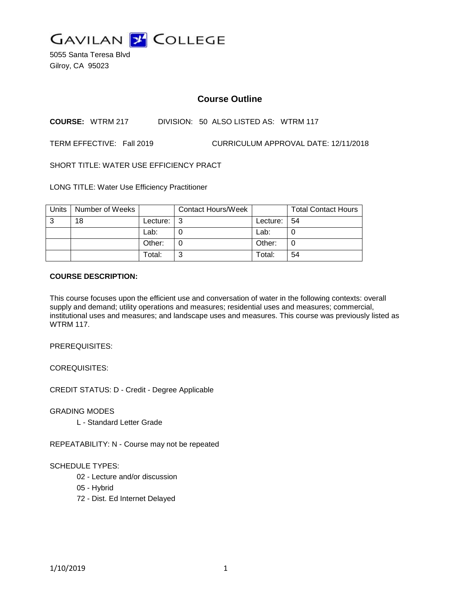

5055 Santa Teresa Blvd Gilroy, CA 95023

# **Course Outline**

**COURSE:** WTRM 217 DIVISION: 50 ALSO LISTED AS: WTRM 117

TERM EFFECTIVE: Fall 2019 CURRICULUM APPROVAL DATE: 12/11/2018

SHORT TITLE: WATER USE EFFICIENCY PRACT

LONG TITLE: Water Use Efficiency Practitioner

| <b>Units</b> | Number of Weeks |          | <b>Contact Hours/Week</b> |          | <b>Total Contact Hours</b> |
|--------------|-----------------|----------|---------------------------|----------|----------------------------|
| 3            | 18              | Lecture: | l 3                       | Lecture: | 54                         |
|              |                 | Lab:     |                           | Lab:     |                            |
|              |                 | Other:   |                           | Other:   |                            |
|              |                 | Total:   | າ                         | Total:   | 54                         |

### **COURSE DESCRIPTION:**

This course focuses upon the efficient use and conversation of water in the following contexts: overall supply and demand; utility operations and measures; residential uses and measures; commercial, institutional uses and measures; and landscape uses and measures. This course was previously listed as **WTRM 117** 

PREREQUISITES:

COREQUISITES:

CREDIT STATUS: D - Credit - Degree Applicable

GRADING MODES

L - Standard Letter Grade

REPEATABILITY: N - Course may not be repeated

### SCHEDULE TYPES:

- 02 Lecture and/or discussion
- 05 Hybrid
- 72 Dist. Ed Internet Delayed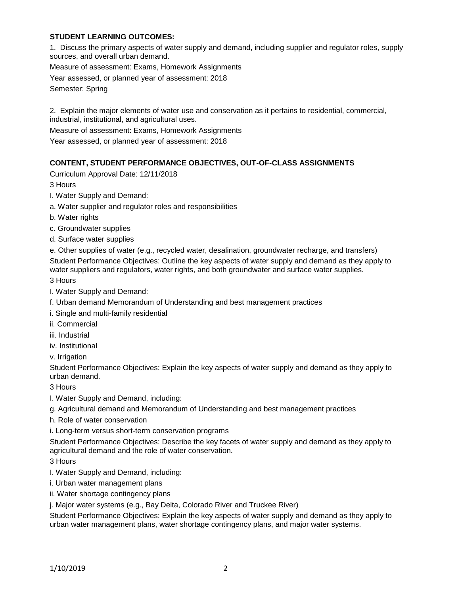## **STUDENT LEARNING OUTCOMES:**

1. Discuss the primary aspects of water supply and demand, including supplier and regulator roles, supply sources, and overall urban demand.

Measure of assessment: Exams, Homework Assignments

Year assessed, or planned year of assessment: 2018

Semester: Spring

2. Explain the major elements of water use and conservation as it pertains to residential, commercial, industrial, institutional, and agricultural uses.

Measure of assessment: Exams, Homework Assignments

Year assessed, or planned year of assessment: 2018

### **CONTENT, STUDENT PERFORMANCE OBJECTIVES, OUT-OF-CLASS ASSIGNMENTS**

Curriculum Approval Date: 12/11/2018

3 Hours

- I. Water Supply and Demand:
- a. Water supplier and regulator roles and responsibilities
- b. Water rights
- c. Groundwater supplies
- d. Surface water supplies
- e. Other supplies of water (e.g., recycled water, desalination, groundwater recharge, and transfers)

Student Performance Objectives: Outline the key aspects of water supply and demand as they apply to water suppliers and regulators, water rights, and both groundwater and surface water supplies.

3 Hours

- I. Water Supply and Demand:
- f. Urban demand Memorandum of Understanding and best management practices
- i. Single and multi-family residential
- ii. Commercial
- iii. Industrial
- iv. Institutional

v. Irrigation

Student Performance Objectives: Explain the key aspects of water supply and demand as they apply to urban demand.

3 Hours

I. Water Supply and Demand, including:

- g. Agricultural demand and Memorandum of Understanding and best management practices
- h. Role of water conservation
- i. Long-term versus short-term conservation programs

Student Performance Objectives: Describe the key facets of water supply and demand as they apply to agricultural demand and the role of water conservation.

3 Hours

- I. Water Supply and Demand, including:
- i. Urban water management plans
- ii. Water shortage contingency plans
- j. Major water systems (e.g., Bay Delta, Colorado River and Truckee River)

Student Performance Objectives: Explain the key aspects of water supply and demand as they apply to urban water management plans, water shortage contingency plans, and major water systems.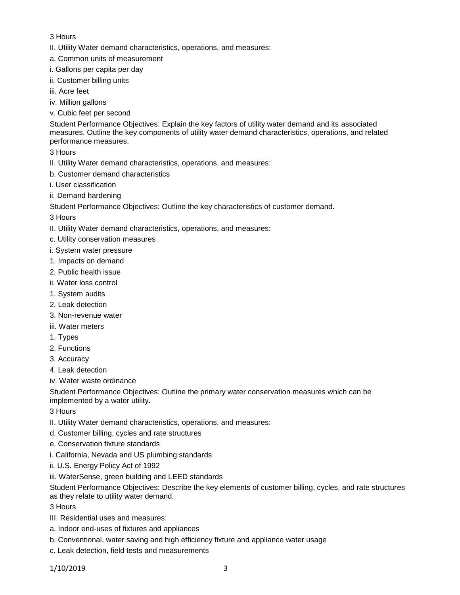## 3 Hours

- II. Utility Water demand characteristics, operations, and measures:
- a. Common units of measurement
- i. Gallons per capita per day
- ii. Customer billing units
- iii. Acre feet
- iv. Million gallons
- v. Cubic feet per second

Student Performance Objectives: Explain the key factors of utility water demand and its associated measures. Outline the key components of utility water demand characteristics, operations, and related performance measures.

3 Hours

- II. Utility Water demand characteristics, operations, and measures:
- b. Customer demand characteristics
- i. User classification
- ii. Demand hardening

Student Performance Objectives: Outline the key characteristics of customer demand.

3 Hours

- II. Utility Water demand characteristics, operations, and measures:
- c. Utility conservation measures
- i. System water pressure
- 1. Impacts on demand
- 2. Public health issue
- ii. Water loss control
- 1. System audits
- 2. Leak detection
- 3. Non-revenue water
- iii. Water meters
- 1. Types
- 2. Functions
- 3. Accuracy
- 4. Leak detection
- iv. Water waste ordinance

Student Performance Objectives: Outline the primary water conservation measures which can be implemented by a water utility.

- 3 Hours
- II. Utility Water demand characteristics, operations, and measures:
- d. Customer billing, cycles and rate structures
- e. Conservation fixture standards
- i. California, Nevada and US plumbing standards
- ii. U.S. Energy Policy Act of 1992
- iii. WaterSense, green building and LEED standards

Student Performance Objectives: Describe the key elements of customer billing, cycles, and rate structures as they relate to utility water demand.

- 3 Hours
- III. Residential uses and measures:
- a. Indoor end-uses of fixtures and appliances
- b. Conventional, water saving and high efficiency fixture and appliance water usage
- c. Leak detection, field tests and measurements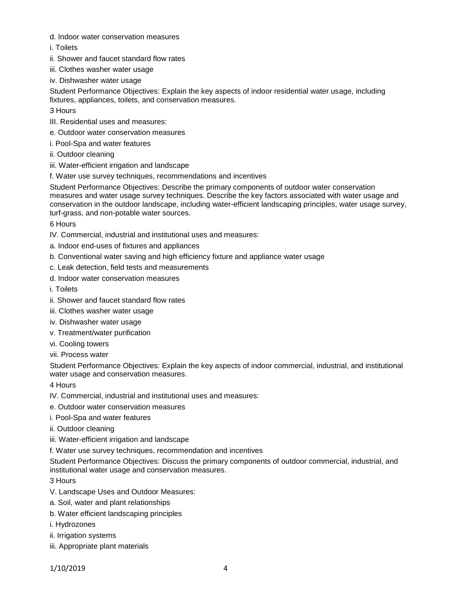- d. Indoor water conservation measures
- i. Toilets
- ii. Shower and faucet standard flow rates
- iii. Clothes washer water usage
- iv. Dishwasher water usage

Student Performance Objectives: Explain the key aspects of indoor residential water usage, including fixtures, appliances, toilets, and conservation measures.

- 3 Hours
- III. Residential uses and measures:
- e. Outdoor water conservation measures
- i. Pool-Spa and water features
- ii. Outdoor cleaning
- iii. Water-efficient irrigation and landscape
- f. Water use survey techniques, recommendations and incentives

Student Performance Objectives: Describe the primary components of outdoor water conservation measures and water usage survey techniques. Describe the key factors associated with water usage and conservation in the outdoor landscape, including water-efficient landscaping principles, water usage survey, turf-grass, and non-potable water sources.

6 Hours

- IV. Commercial, industrial and institutional uses and measures:
- a. Indoor end-uses of fixtures and appliances
- b. Conventional water saving and high efficiency fixture and appliance water usage
- c. Leak detection, field tests and measurements
- d. Indoor water conservation measures
- i. Toilets
- ii. Shower and faucet standard flow rates
- iii. Clothes washer water usage
- iv. Dishwasher water usage
- v. Treatment/water purification
- vi. Cooling towers
- vii. Process water

Student Performance Objectives: Explain the key aspects of indoor commercial, industrial, and institutional water usage and conservation measures.

4 Hours

- IV. Commercial, industrial and institutional uses and measures:
- e. Outdoor water conservation measures
- i. Pool-Spa and water features
- ii. Outdoor cleaning
- iii. Water-efficient irrigation and landscape
- f. Water use survey techniques, recommendation and incentives

Student Performance Objectives: Discuss the primary components of outdoor commercial, industrial, and institutional water usage and conservation measures.

3 Hours

- V. Landscape Uses and Outdoor Measures:
- a. Soil, water and plant relationships
- b. Water efficient landscaping principles

i. Hydrozones

- ii. Irrigation systems
- iii. Appropriate plant materials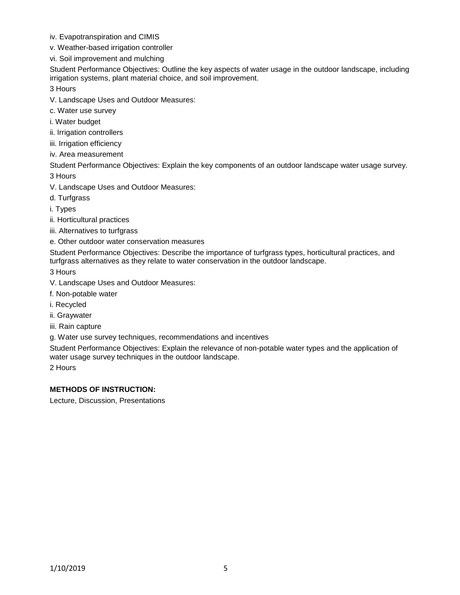- iv. Evapotranspiration and CIMIS
- v. Weather-based irrigation controller
- vi. Soil improvement and mulching

Student Performance Objectives: Outline the key aspects of water usage in the outdoor landscape, including irrigation systems, plant material choice, and soil improvement.

3 Hours

- V. Landscape Uses and Outdoor Measures:
- c. Water use survey
- i. Water budget
- ii. Irrigation controllers
- iii. Irrigation efficiency
- iv. Area measurement

Student Performance Objectives: Explain the key components of an outdoor landscape water usage survey. 3 Hours

- V. Landscape Uses and Outdoor Measures:
- d. Turfgrass
- i. Types
- ii. Horticultural practices
- iii. Alternatives to turfgrass
- e. Other outdoor water conservation measures

Student Performance Objectives: Describe the importance of turfgrass types, horticultural practices, and turfgrass alternatives as they relate to water conservation in the outdoor landscape.

3 Hours

- V. Landscape Uses and Outdoor Measures:
- f. Non-potable water
- i. Recycled
- ii. Graywater
- iii. Rain capture
- g. Water use survey techniques, recommendations and incentives

Student Performance Objectives: Explain the relevance of non-potable water types and the application of water usage survey techniques in the outdoor landscape.

2 Hours

## **METHODS OF INSTRUCTION:**

Lecture, Discussion, Presentations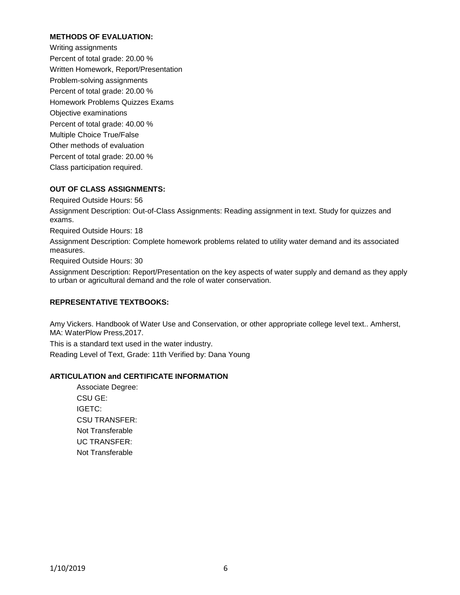### **METHODS OF EVALUATION:**

Writing assignments Percent of total grade: 20.00 % Written Homework, Report/Presentation Problem-solving assignments Percent of total grade: 20.00 % Homework Problems Quizzes Exams Objective examinations Percent of total grade: 40.00 % Multiple Choice True/False Other methods of evaluation Percent of total grade: 20.00 % Class participation required.

### **OUT OF CLASS ASSIGNMENTS:**

Required Outside Hours: 56

Assignment Description: Out-of-Class Assignments: Reading assignment in text. Study for quizzes and exams.

Required Outside Hours: 18

Assignment Description: Complete homework problems related to utility water demand and its associated measures.

Required Outside Hours: 30

Assignment Description: Report/Presentation on the key aspects of water supply and demand as they apply to urban or agricultural demand and the role of water conservation.

### **REPRESENTATIVE TEXTBOOKS:**

Amy Vickers. Handbook of Water Use and Conservation, or other appropriate college level text.. Amherst, MA: WaterPlow Press,2017.

This is a standard text used in the water industry. Reading Level of Text, Grade: 11th Verified by: Dana Young

### **ARTICULATION and CERTIFICATE INFORMATION**

Associate Degree: CSU GE: IGETC: CSU TRANSFER: Not Transferable UC TRANSFER: Not Transferable